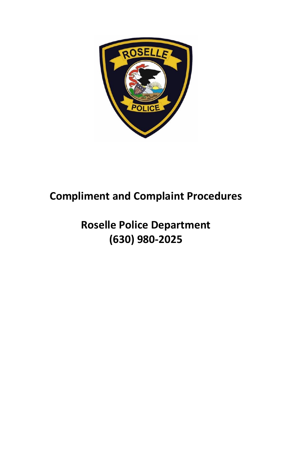

# **Compliment and Complaint Procedures**

# **Roselle Police Department (630) 980-2025**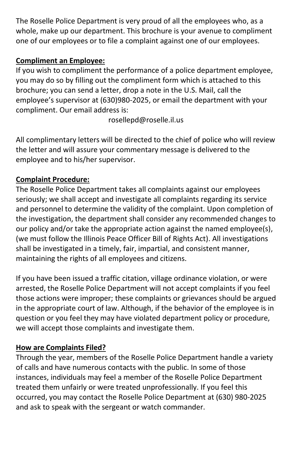The Roselle Police Department is very proud of all the employees who, as a whole, make up our department. This brochure is your avenue to compliment one of our employees or to file a complaint against one of our employees.

## **Compliment an Employee:**

If you wish to compliment the performance of a police department employee, you may do so by filling out the compliment form which is attached to this brochure; you can send a letter, drop a note in the U.S. Mail, call the employee's supervisor at (630)980-2025, or email the department with your compliment. Our email address is:

[rosellepd@roselle.il.us](mailto:rosellepd@roselle.il.us)

All complimentary letters will be directed to the chief of police who will review the letter and will assure your commentary message is delivered to the employee and to his/her supervisor.

# **Complaint Procedure:**

The Roselle Police Department takes all complaints against our employees seriously; we shall accept and investigate all complaints regarding its service and personnel to determine the validity of the complaint. Upon completion of the investigation, the department shall consider any recommended changes to our policy and/or take the appropriate action against the named employee(s), (we must follow the Illinois Peace Officer Bill of Rights Act). All investigations shall be investigated in a timely, fair, impartial, and consistent manner, maintaining the rights of all employees and citizens.

If you have been issued a traffic citation, village ordinance violation, or were arrested, the Roselle Police Department will not accept complaints if you feel those actions were improper; these complaints or grievances should be argued in the appropriate court of law. Although, if the behavior of the employee is in question or you feel they may have violated department policy or procedure, we will accept those complaints and investigate them.

## **How are Complaints Filed?**

Through the year, members of the Roselle Police Department handle a variety of calls and have numerous contacts with the public. In some of those instances, individuals may feel a member of the Roselle Police Department treated them unfairly or were treated unprofessionally. If you feel this occurred, you may contact the Roselle Police Department at (630) 980-2025 and ask to speak with the sergeant or watch commander.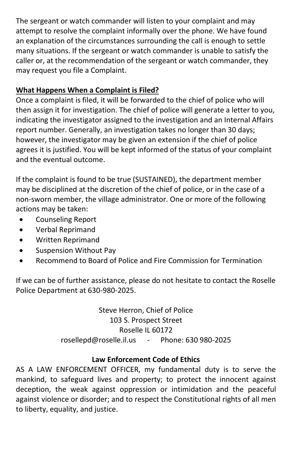The sergeant or watch commander will listen to your complaint and may attempt to resolve the complaint informally over the phone. We have found an explanation of the circumstances surrounding the call is enough to settle many situations. If the sergeant or watch commander is unable to satisfy the caller or, at the recommendation of the sergeant or watch commander, they may request you file a Complaint.

## **What Happens When a Complaint is Filed?**

Once a complaint is filed, it will be forwarded to the chief of police who will then assign it for investigation. The chief of police will generate a letter to you, indicating the investigator assigned to the investigation and an Internal Affairs report number. Generally, an investigation takes no longer than 30 days; however, the investigator may be given an extension if the chief of police agrees it is justified. You will be kept informed of the status of your complaint and the eventual outcome.

If the complaint is found to be true (SUSTAINED), the department member may be disciplined at the discretion of the chief of police, or in the case of a non-sworn member, the village administrator. One or more of the following actions may be taken:

- Counseling Report
- Verbal Reprimand
- Written Reprimand
- Suspension Without Pay
- Recommend to Board of Police and Fire Commission for Termination

If we can be of further assistance, please do not hesitate to contact the Roselle Police Department at 630-980-2025.

> Steve Herron, Chief of Police 103 S. Prospect Street Roselle IL 60172 [rosellepd@roselle.il.us](mailto:RosellePD@Roselle.il.us) - Phone: 630 980-2025

#### **Law Enforcement Code of Ethics**

AS A LAW ENFORCEMENT OFFICER, my fundamental duty is to serve the mankind, to safeguard lives and property; to protect the innocent against deception, the weak against oppression or intimidation and the peaceful against violence or disorder; and to respect the Constitutional rights of all men to liberty, equality, and justice.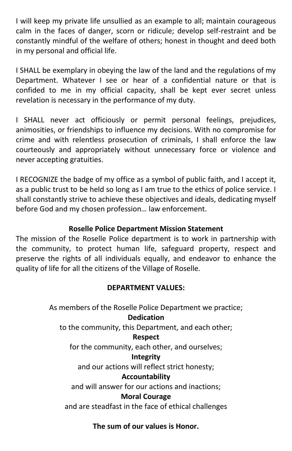I will keep my private life unsullied as an example to all; maintain courageous calm in the faces of danger, scorn or ridicule; develop self-restraint and be constantly mindful of the welfare of others; honest in thought and deed both in my personal and official life.

I SHALL be exemplary in obeying the law of the land and the regulations of my Department. Whatever I see or hear of a confidential nature or that is confided to me in my official capacity, shall be kept ever secret unless revelation is necessary in the performance of my duty.

I SHALL never act officiously or permit personal feelings, prejudices, animosities, or friendships to influence my decisions. With no compromise for crime and with relentless prosecution of criminals, I shall enforce the law courteously and appropriately without unnecessary force or violence and never accepting gratuities.

I RECOGNIZE the badge of my office as a symbol of public faith, and I accept it, as a public trust to be held so long as I am true to the ethics of police service. I shall constantly strive to achieve these objectives and ideals, dedicating myself before God and my chosen profession… law enforcement.

### **Roselle Police Department Mission Statement**

The mission of the Roselle Police department is to work in partnership with the community, to protect human life, safeguard property, respect and preserve the rights of all individuals equally, and endeavor to enhance the quality of life for all the citizens of the Village of Roselle.

## **DEPARTMENT VALUES:**

As members of the Roselle Police Department we practice;

#### **Dedication**

to the community, this Department, and each other;

#### **Respect**

for the community, each other, and ourselves;

#### **Integrity**

and our actions will reflect strict honesty;

#### **Accountability**

and will answer for our actions and inactions;

## **Moral Courage**

and are steadfast in the face of ethical challenges

## **The sum of our values is Honor.**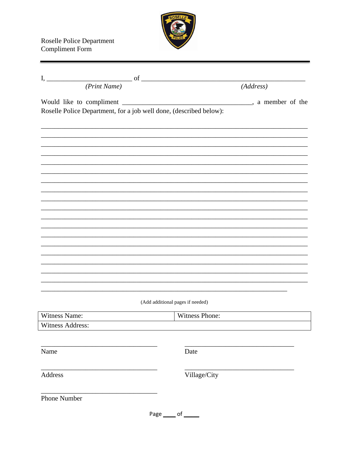

| (Print Name)                                                       | (Address)                        |
|--------------------------------------------------------------------|----------------------------------|
| Roselle Police Department, for a job well done, (described below): |                                  |
|                                                                    |                                  |
|                                                                    |                                  |
|                                                                    |                                  |
|                                                                    |                                  |
|                                                                    |                                  |
|                                                                    |                                  |
|                                                                    |                                  |
|                                                                    |                                  |
|                                                                    | (Add additional pages if needed) |
| Witness Name:                                                      | Witness Phone:                   |
| Witness Address:                                                   |                                  |
| Name                                                               | Date                             |
| Address                                                            | Village/City                     |
| Phone Number                                                       |                                  |
|                                                                    | Page _____ of _____              |